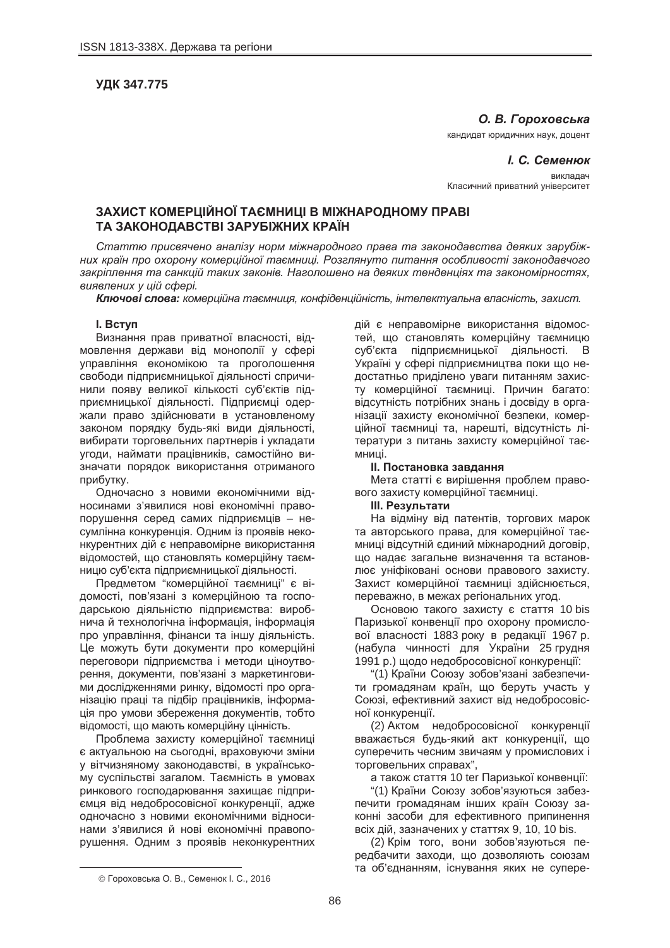**ɍȾɄ 347.775**

# **О. В. Гороховська**

кандидат юридичних наук, доцент

 $I. C.$  Семенюк **BUKUAN** Класичний приватний університет

## **ЗАХИСТ КОМЕРЦІЙНОЇ ТАЄМНИЦІ В МІЖНАРОДНОМУ ПРАВІ ɌȺ ɁȺɄɈɇɈȾȺȼɋɌȼȱ ɁȺɊɍȻȱɀɇɂɏ ɄɊȺȲɇ**

Статтю присвячено аналізу норм міжнародного права та законодавства деяких зарубіж**них країн про охорону комерційної таємниці. Розглянуто питання особливості законодавчого** закріплення та санкцій таких законів. Наголошено на деяких тенденціях та закономірностях.  $\epsilon$ иявлених у цій сфері.

**Ключові слова:** комерційна таємниця, конфіденційність, інтелектуальна власність, захист.

#### **l.** Bctyn

Визнання прав приватної власності, відмовлення держави від монополії у сфері управління економікою та проголошення свободи підприємницької діяльності спричинили появу великої кількості суб'єктів підприємницької діяльності. Підприємці одержали право здійснювати в установленому законом порядку будь-які види діяльності, вибирати торговельних партнерів і укладати угоди, наймати працівників, самостійно визначати порядок використання отриманого прибутку.

Одночасно з новими економічними відносинами з'явилися нові економічні правопорушення серед самих підприємців - несумлінна конкуренція. Одним із проявів неконкурентних дій є неправомірне використання відомостей, що становлять комерційну таємницю суб'єкта підприємницької діяльності.

Предметом "комерційної таємниці" є відомості, пов'язані з комерційною та господарською діяльністю підприємства: виробнича й технологічна інформація, інформація про управління, фінанси та іншу діяльність. Це можуть бути документи про комерційні переговори підприємства і методи ціноутворення, документи, пов'язані з маркетинговими дослідженнями ринку, відомості про організацію праці та підбір працівників, інформація про умови збереження документів, тобто відомості, що мають комерційну цінність.

Проблема захисту комерційної таємниці є актуальною на сьогодні, враховуючи зміни V вітчизняному законодавстві, в українському суспільстві загалом. Таємність в умовах ринкового господарювання захищає підприємця від недобросовісної конкуренції, адже одночасно з новими економічними відносинами з'явилися й нові економічні правопорушення. Одним з проявів неконкурентних дій є неправомірне використання відомостей, що становлять комерційну таємницю суб'єкта підприємницької діяльності. В Україні у сфері підприємництва поки що недостатньо приділено уваги питанням захисту комерційної таємниці. Причин багато: відсутність потрібних знань і досвіду в організації захисту економічної безпеки, комерційної таємниці та, нарешті, відсутність літератури з питань захисту комерційної таємниці.

### **II. Постановка завдання**

Мета статті є вирішення проблем правового захисту комерційної таємниці.

#### **Ш. Результати**

На відміну від патентів, торгових марок та авторського права, для комерційної таємниці відсутній єдиний міжнародний договір, що надає загальне визначення та встановлює уніфіковані основи правового захисту. Захист комерційної таємниці здійснюється, переважно, в межах регіональних угод.

Основою такого захисту є стаття 10 bis Паризької конвенції про охорону промислової власності 1883 року в редакції 1967 р. (набула чинності для України 25 грудня 1991 р.) щодо недобросовісної конкуренції:

"(1) Країни Союзу зобов'язані забезпечити громадянам країн, що беруть участь у Союзі, ефективний захист від недобросовісної конкуренції.

(2) Актом недобросовісної конкуренції вважається будь-який акт конкуренції, що суперечить чесним звичаям у промислових і торговельних справах",

а також стаття 10 ter Паризької конвенції:

"(1) Країни Союзу зобов'язуються забезпечити громадянам інших країн Союзу законні засоби для ефективного припинення всіх дій, зазначених у статтях 9, 10, 10 bis.

(2) Крім того, вони зобов'язуються передбачити заходи, що дозволяють союзам та об'єднанням, існування яких не супере-

 $\overline{a}$ 

<sup>©</sup> Гороховська О. В., Семенюк І. С., 2016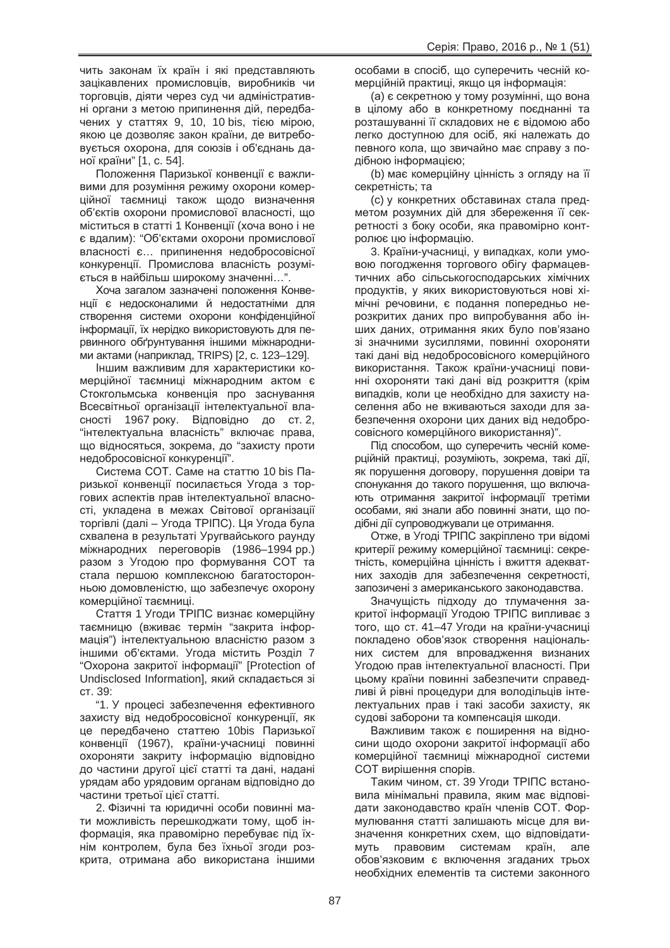чить законам їх країн і які представляють зацікавлених промисловців, виробників чи торговців, діяти через суд чи адміністративні органи з метою припинення дій, передбачених у статтях 9, 10, 10 bis, тією мірою, якою це дозволяє закон країни, де витребовується охорона, для союзів і об'єднань даної країни" [1, с. 54].

Положення Паризької конвенції є важливими для розуміння режиму охорони комерційної таємниці також щодо визначення об'єктів охорони промислової власності, що міститься в статті 1 Конвенції (хоча воно і не є вдалим): "Об'єктами охорони промислової власності є... припинення недобросовісної конкуренції. Промислова власність розуміється в найбільш широкому значенні...".

Хоча загалом зазначені положення Конвенції є недосконалими й недостатніми для створення системи охорони конфіденційної інформації, їх нерідко використовують для первинного обґрунтування іншими міжнародними актами (наприклад, TRIPS) [2, с. 123–129].

Іншим важливим для характеристики комерційної таємниці міжнародним актом є Стокгольмська конвенція про заснування Всесвітньої організації інтелектуальної власності 1967 року. Відповідно до ст. 2, "НЕ истуальна власність" включає права, що відносяться, зокрема, до "захисту проти недобросовісної конкуренції".

Система СОТ. Саме на статтю 10 bis Паризької конвенції посилається Угода з торгових аспектів прав інтелектуальної власності, укладена в межах Світової організації торгівлі (далі – Угода ТРІПС). Ця Угода була схвалена в результаті Уругвайського раунду міжнародних переговорів (1986–1994 рр.) разом з Угодою про формування СОТ та стала першою комплексною багатосторонньою домовленістю, що забезпечує охорону комерційної таємниці.

Стаття 1 Угоди ТРІПС визнає комерційну таємницю (вживає термін "закрита інформація") інтелектуальною власністю разом з іншими об'єктами. Угода містить Розділ 7 "Охорона закритої інформації" [Protection of Undisclosed Information], який складається зі CT. 39:

"1. У процесі забезпечення ефективного захисту від недобросовісної конкуренції, як це передбачено статтею 10bis Паризької конвенції (1967), країни-учасниці повинні охороняти закриту інформацію відповідно до частини другої цієї статті та дані, надані урядам або урядовим органам відповідно до частини третьої цієї статті.

2. Фізичні та юридичні особи повинні мати можливість перешкоджати тому, щоб інформація, яка правомірно перебуває під їхнім контролем. була без їхньої згоди розкрита, отримана або використана іншими особами в спосіб, що суперечить чесній комерційній практиці, якщо ця інформація:

(а) є секретною у тому розумінні, що вона в цілому або в конкретному поєднанні та розташуванні її складових не є відомою або легко доступною для осіб, які належать до певного кола, що звичайно має справу з подібною інформацією;

(b) має комерційну цінність з огляду на її секретність; та

(с) у конкретних обставинах стала предметом розумних дій для збереження її секретності з боку особи, яка правомірно контролює цю інформацію.

3. Країни-учасниці, у випадках, коли умовою погодження торгового обігу фармацевтичних або сільськогосподарських хімічних продуктів, у яких використовуються нові хімічні речовини, є подання попередньо нерозкритих даних про випробування або інших даних, отримання яких було пов'язано зі значними зусиллями, повинні охороняти такі дані від недобросовісного комерційного використання. Також країни-учасниці повинні охороняти такі дані від розкриття (крім випадків, коли це необхідно для захисту населення або не вживаються заходи для забезпечення охорони цих даних від недобросовісного комерційного використання)".

Під способом, що суперечить чесній комерційній практиці, розуміють, зокрема, такі дії, як порушення договору, порушення довіри та спонукання до такого порушення, що включають отримання закритої інформації третіми особами, які знали або повинні знати, що подібні дії супроводжували це отримання.

Отже, в Угоді ТРІПС закріплено три відомі критерії режиму комерційної таємниці: секретність, комерційна цінність і вжиття адекватних заходів для забезпечення секретності. запозичені з американського законодавства.

Значущість підходу до тлумачення закритої інформації Угодою ТРІПС випливає з того, що ст. 41–47 Угоди на країни-учасниці покладено обов'язок створення національних систем для впровадження визнаних Угодою прав інтелектуальної власності. При цьому країни повинні забезпечити справедливі й рівні процедури для володільців інтелектуальних прав і такі засоби захисту, як судові заборони та компенсація шкоди.

Важливим також є поширення на відносини щодо охорони закритої інформації або комерційної таємниці міжнародної системи СОТ вирішення спорів.

Таким чином, ст. 39 Угоди ТРІПС встановила мінімальні правила, яким має відповідати законодавство країн членів СОТ. Формулювання статті залишають місце для визначення конкретних схем. що відповідатимуть правовим системам країн, але обов'язковим є включення згаданих трьох необхідних елементів та системи законного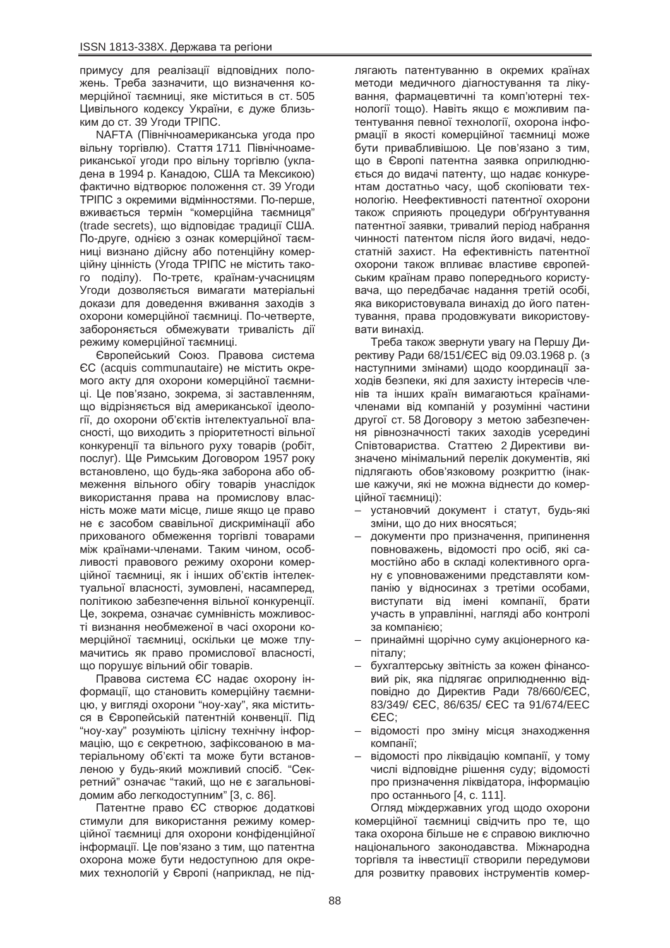примусу для реалізації відповідних положень. Треба зазначити, що визначення комерційної таємниці, яке міститься в ст. 505 Цивільного кодексу України, є дуже близьким до ст. 39 Угоди ТРІПС.

NAFTA (Північноамериканська угода про вільну торгівлю). Стаття 1711 Північноамериканської угоди про вільну торгівлю (укладена в 1994 р. Канадою, США та Мексикою) фактично відтворює положення ст. 39 Угоди ТРІПС з окремими відмінностями. По-перше, вживається термін "комерційна таємниця" (trade secrets), що відповідає традиції США. По-друге, однією з ознак комерційної таємниці визнано дійсну або потенційну комерційну цінність (Угода ТРІПС не містить такого поділу). По-третє, країнам-учасницям Угоди дозволяється вимагати матеріальні докази для доведення вживання заходів з охорони комерційної таємниці. По-четверте, забороняється обмежувати тривалість дії режиму комерційної таємниці.

Свропейський Союз. Правова система  $\mathsf{CC}$  (acquis communautaire) не містить окремого акту для охорони комерційної таємниці. Це пов'язано, зокрема, зі заставленням, що відрізняється від американської ідеології, до охорони об'єктів інтелектуальної власності, що виходить з пріоритетності вільної конкуренції та вільного руху товарів (робіт, послуг). Ще Римським Договором 1957 року встановлено, що будь-яка заборона або обмеження вільного обігу товарів унаслідок використання права на промислову власність може мати місце, лише якщо це право не є засобом свавільної дискримінації або прихованого обмеження торгівлі товарами між країнами-членами. Таким чином, особливості правового режиму охорони комерційної таємниці, як і інших об'єктів інтелектуальної власності, зумовлені, насамперед, політикою забезпечення вільної конкуренції. Це, зокрема, означає сумнівність можливості визнання необмеженої в часі охорони комерційної таємниці, оскільки це може тлумачитись як право промислової власності, що порушує вільний обіг товарів.

Правова система ЄС надає охорону інформації, що становить комерційну таємницю, у вигляді охорони "ноу-хау", яка міститься в Європейській патентній конвенції. Під "ноу-хау" розуміють цілісну технічну інформацію, що є секретною, зафіксованою в матеріальному об'єкті та може бути встановленою у будь-який можливий спосіб. "Секретний" означає "такий, що не є загальновідомим або легкодоступним" [3, с. 86].

Патентне право ЄС створює додаткові стимули для використання режиму комерційної таємниці для охорони конфіденційної інформації. Це пов'язано з тим. що патентна охорона може бути недоступною для окремих технологій у Європі (наприклад, не підлягають патентуванню в окремих країнах методи медичного діагностування та лікування, фармацевтичні та комп'ютерні технології тощо). Навіть якщо є можливим патентування певної технології, охорона інформації в якості комерційної таємниці може бути привабливішою. Це пов'язано з тим, що в Європі патентна заявка оприлюднюється до видачі патенту, що надає конкурентам достатньо часу, щоб скопіювати технологію. Неефективності патентної охорони також сприяють процедури обґрунтування патентної заявки, тривалий період набрання чинності патентом після його видачі, недостатній захист. На ефективність патентної охорони також впливає властиве європейським країнам право попереднього користувача, що передбачає надання третій особі, яка використовувала винахід до його патентування, права продовжувати використовувати винахід.

Треба також звернути увагу на Першу Директиву Ради 68/151/ЄЕС від 09.03.1968 р. (з наступними змінами) щодо координації заходів безпеки, які для захисту інтересів членів та інших країн вимагаються країнамичленами від компаній у розумінні частини другої ст. 58 Договору з метою забезпечення рівнозначності таких заходів усередині Співтовариства. Статтею 2 Директиви визначено мінімальний перелік документів, які підлягають обов'язковому розкриттю (інакше кажучи, які не можна віднести до комерційної таємниці):

- установчий документ і статут, будь-які зміни, що до них вносяться;
- документи про призначення, припинення повноважень, відомості про осіб, які самостійно або в складі колективного органу є уповноваженими представляти компанію у відносинах з третіми особами, виступати від імені компанії, брати участь в управлінні, нагляді або контролі за компанією:
- принаймні щорічно суму акціонерного капіталу;
- бухгалтерську звітність за кожен фінансовий рік, яка підлягає оприлюдненню відповідно до Директив Ради 78/660/ЄЕС, 83/349/ CEC, 86/635/ CEC та 91/674/EEC CEC:
- відомості про зміну місця знаходження компанії;
- відомості про ліквідацію компанії, у тому числі відповідне рішення суду; відомості про призначення ліквідатора, інформацію про останнього [4, с. 111].

Огляд міждержавних угод щодо охорони комерційної таємниці свідчить про те, що така охорона більше не є справою виключно національного законодавства. Міжнародна торгівля та інвестиції створили передумови для розвитку правових інструментів комер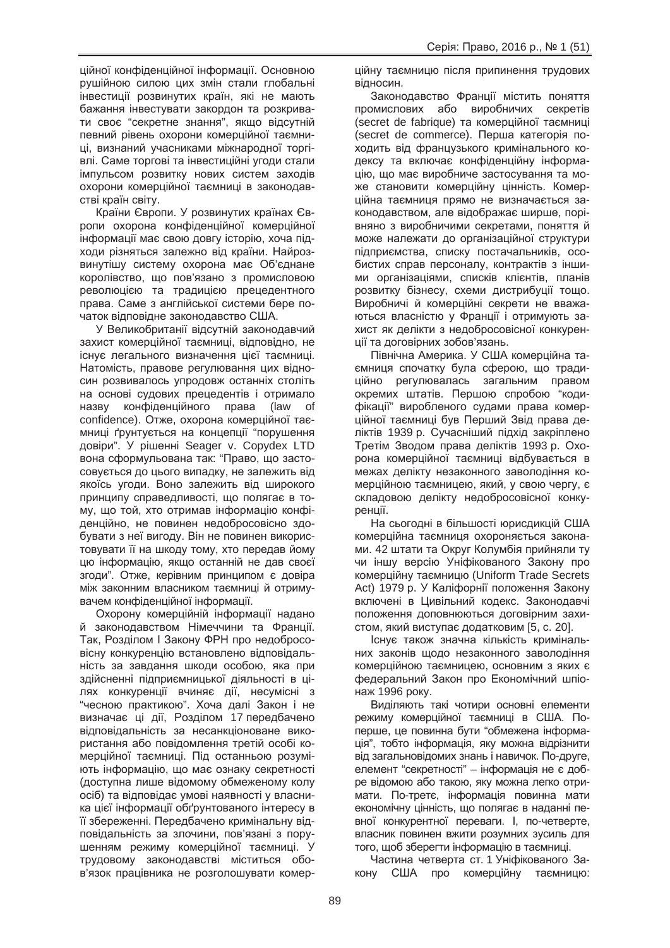ційної конфіденційної інформації. Основною рушійною силою цих змін стали глобальні інвестиції розвинутих країн, які не мають бажання інвестувати закордон та розкривати своє "секретне знання", якщо відсутній певний рівень охорони комерційної таємниці, визнаний учасниками міжнародної торгівлі. Саме торгові та інвестиційні угоди стали імпульсом розвитку нових систем заходів охорони комерційної таємниці в законодавстві країн світу.

Країни Європи. У розвинутих країнах Європи охорона конфіденційної комерційної інформації має свою довгу історію, хоча підходи різняться залежно від країни. Найрозвинутішу систему охорона має Об'єднане королівство, що пов'язано з промисловою революцією та традицією прецедентного права. Саме з англійської системи бере початок відповідне законодавство США.

У Великобританії відсутній законодавчий захист комерційної таємниці, відповідно, не існує легального визначення цієї таємниці. Натомість, правове регулювання цих відносин розвивалось упродовж останніх століть на основі судових прецедентів і отримало назву конфіденційного права (law of confidence). Отже, охорона комерційної таємниці ґрунтується на концепції "порушення довіри". У рішенні Seager v. Copydex LTD вона сформульована так: "Право, що застосовується до цього випадку, не залежить від якоїсь угоди. Воно залежить від широкого принципу справедливості, що полягає в тому, що той, хто отримав інформацію конфіденційно, не повинен недобросовісно здобувати з неї вигоду. Він не повинен використовувати її на шкоду тому, хто передав йому цю інформацію, якшо останній не дав своєї згоди". Отже, керівним принципом є довіра між законним власником таємниці й отримувачем конфіденційної інформації.

Охорону комерційній інформації надано й законодавством Німеччини та Франції. Так, Розділом І Закону ФРН про недобросовісну конкуренцію встановлено відповідальність за завдання шкоди особою, яка при здійсненні підприємницької діяльності в цілях конкуренції вчиняє дії, несумісні з "чесною практикою". Хоча далі Закон і не визначає ці дії, Розділом 17 передбачено відповідальність за несанкціоноване використання або повідомлення третій особі комерційної таємниці. Під останньою розуміють інформацію, що має ознаку секретності (доступна лише відомому обмеженому колу осіб) та відповідає умові наявності у власника цієї інформації обґрунтованого інтересу в її збереженні. Передбачено кримінальну відповідальність за злочини, пов'язані з порушенням режиму комерційної таємниці. У трудовому законодавстві міститься обов'язок працівника не розголошувати комерційну таємницю після припинення трудових відносин.

Законодавство Франції містить поняття промислових або виробничих секретів (secret de fabrique) та комерційної таємниці (secret de commerce). Перша категорія походить від французького кримінального кодексу та включає конфіденційну інформацію, що має виробниче застосування та може становити комерційну цінність. Комерційна таємниця прямо не визначається законодавством, але відображає ширше, порівняно з виробничими секретами, поняття й може належати до організаційної структури підприємства, списку постачальників, особистих справ персоналу, контрактів з іншими організаціями, списків клієнтів, планів розвитку бізнесу, схеми дистрибуції тощо. Виробничі й комерційні секрети не вважаються власністю у Франції і отримують захист як делікти з недобросовісної конкуренції та договірних зобов'язань.

Північна Америка. У США комерційна таємниця спочатку була сферою, що традиційно регулювалась загальним правом окремих штатів. Першою спробою "кодифікації" виробленого судами права комерційної таємниці був Перший Звід права деліктів 1939 р. Сучасніший підхід закріплено Третім Зводом права деліктів 1993 р. Охорона комерційної таємниці відбувається в межах делікту незаконного заволодіння комерційною таємницею, який, у свою чергу, є складовою делікту недобросовісної конкуренції.

На сьогодні в більшості юрисдикцій США комерційна таємниця охороняється законами. 42 штати та Округ Колумбія прийняли ту чи іншу версію Уніфікованого Закону про комерційну таємницю (Uniform Trade Secrets Act) 1979 p. У Каліфорнії положення Закону включені в Цивільний кодекс. Законодавчі положення доповнюються договірним захистом, який виступає додатковим [5, с. 20].

Існує також значна кількість кримінальних законів щодо незаконного заволодіння комерційною таємницею, основним з яких є федеральний Закон про Економічний шпіонаж 1996 року.

Виділяють такі чотири основні елементи режиму комерційної таємниці в США. Поперше, це повинна бути "обмежена інформація", тобто інформація, яку можна відрізнити від загальновідомих знань і навичок. По-друге, елемент "секретності" – інформація не є добре відомою або такою, яку можна легко отримати. По-третє, інформація повинна мати економічну цінність, що полягає в наданні певної конкурентної переваги. І, по-четверте, власник повинен вжити розумних зусиль для того, щоб зберегти інформацію в таємниці.

Частина четверта ст. 1 Уніфікованого Закону США про комерційну таємницю: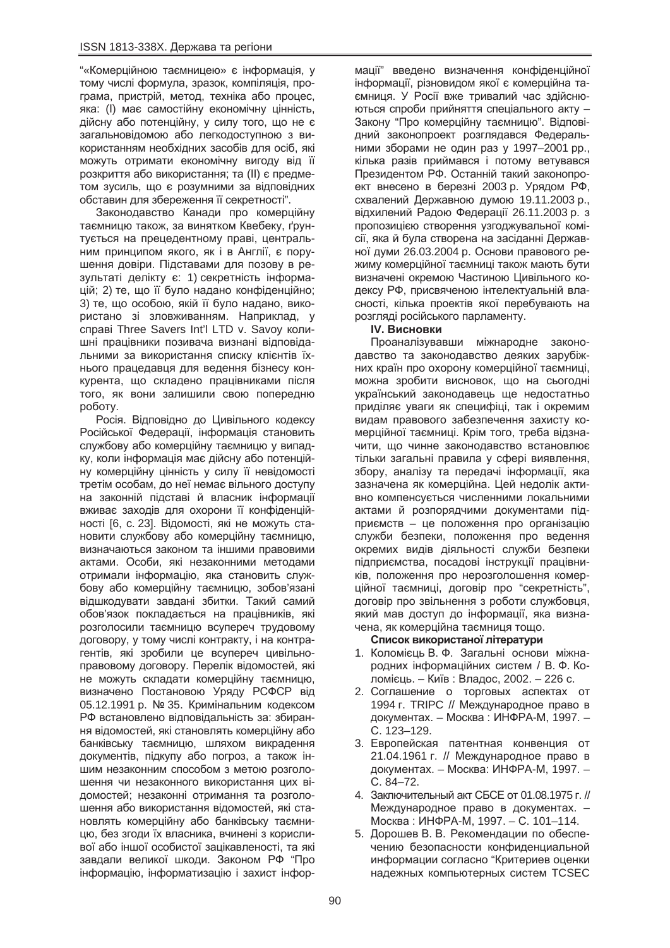"«Комерційною таємницею» є інформація, у тому числі формула, зразок, компіляція, програма, пристрій, метод, техніка або процес, яка: (I) має самостійну економічну цінність, дійсну або потенційну, у силу того, що не є загальновідомою або легкодоступною з використанням необхідних засобів для осіб, які можуть отримати економічну вигоду від її розкриття або використання: та (II) є предметом зусиль, що є розумними за відповідних обставин для збереження її секретності".

Законодавство Канади про комерційну таємницю також, за винятком Квебеку, ґрунтується на прецедентному праві, центральним принципом якого, як і в Англії, є порушення довіри. Підставами для позову в результаті делікту є: 1) секретність інформацій; 2) те, що її було надано конфіденційно; 3) те, що особою, якій її було надано, використано зі зловживанням. Наприклад, у справі Three Savers Int'l LTD v. Savoy колишні працівники позивача визнані відповідальними за використання списку клієнтів їхнього працедавця для ведення бізнесу конкурента, що складено працівниками після того, як вони залишили свою попередню роботу.

Росія. Відповідно до Цивільного кодексу Російської Федерації, інформація становить службову або комерційну таємницю у випадку, коли інформація має дійсну або потенційну комерційну цінність у силу її невідомості третім особам, до неї немає вільного доступу на законній підставі й власник інформації вживає заходів для охорони її конфіденційності [6, с. 23]. Відомості, які не можуть становити службову або комерційну таємницю, визначаються законом та іншими правовими актами. Особи. які незаконними методами отримали інформацію, яка становить службову або комерційну таємницю, зобов'язані відшкодувати завдані збитки. Такий самий обов'язок покладається на працівників, які розголосили таємницю всупереч трудовому договору, у тому числі контракту, і на контрагентів, які зробили це всупереч цивільноправовому договору. Перелік відомостей, які не можуть складати комерційну таємницю, визначено Постановою Уряду РСФСР від 05.12.1991 р. № 35. Кримінальним кодексом РФ встановлено відповідальність за: збирання відомостей, які становлять комерційну або банківську таємницю, шляхом викрадення документів, підкупу або погроз, а також іншим незаконним способом з метою розголошення чи незаконного використання цих відомостей; незаконні отримання та розголошення або використання відомостей, які становлять комерційну або банківську таємницю, без згоди їх власника, вчинені з корисливої або іншої особистої зацікавленості, та які завдали великої шкоди. Законом РФ "Про інформацію, інформатизацію і захист інфор-

мації" введено визначення конфіденційної інформації, різновидом якої є комерційна таємниця. У Росії вже тривалий час здійснюються спроби прийняття спеціального акту – Закону "Про комерційну таємницю". Відповідний законопроект розглядався Федеральними зборами не один раз у 1997–2001 рр., кілька разів приймався і потому ветувався Президентом РФ. Останній такий законопроект внесено в березні 2003 р. Урядом РФ, схвалений Державною думою 19.11.2003 p., відхилений Радою Федерації 26.11.2003 р. з пропозицією створення узгоджувальної комісії, яка й була створена на засіданні Державної думи 26.03.2004 р. Основи правового режиму комерційної таємниці також мають бути визначені окремою Частиною Цивільного кодексу РФ, присвяченою інтелектуальній власності, кілька проектів якої перебувають на розгляді російського парламенту.

## **IV. Висновки**

Проаналізувавши міжнародне законодавство та законодавство деяких зарубіжних країн про охорону комерційної таємниці, можна зробити висновок, що на сьогодні український законодавець ще недостатньо приділяє уваги як специфіці, так і окремим видам правового забезпечення захисту комерційної таємниці. Крім того, треба відзначити, що чинне законодавство встановлює тільки загальні правила у сфері виявлення, збору, аналізу та передачі інформації, яка зазначена як комерційна. Цей недолік активно компенсується численними локальними актами й розпорядчими документами підприємств – це положення про організацію служби безпеки, положення про ведення окремих видів діяльності служби безпеки підприємства, посадові інструкції працівників, положення про нерозголошення комерційної таємниці, договір про "секретність", договір про звільнення з роботи службовця, який мав доступ до інформації, яка визначена, як комерційна таємниця тощо.

#### Список використаної літератури

- 1. Коломієць В. Ф. Загальні основи міжнародних інформаційних систем / В. Ф. Коломієць. – Київ: Владос, 2002. – 226 с.
- 2. Соглашение о торговых аспектах от 1994 г. TRIPC // Международное право в документах. – Москва: ИНФРА-М, 1997. – ɋ. 123–129.
- 3. Европейская патентная конвенция от 21.04.1961 г. // Международное право в документах. – Москва: ИНФРА-М, 1997. – ɋ. 84–72.
- 4. Заключительный акт СБСЕ от 01.08.1975 г. // Международное право в документах. -Москва: ИНФРА-М, 1997. – С. 101–114.
- 5. Дорошев В. В. Рекомендации по обеспечению безопасности конфиденциальной информации согласно "Критериев оценки надежных компьютерных систем TCSEC